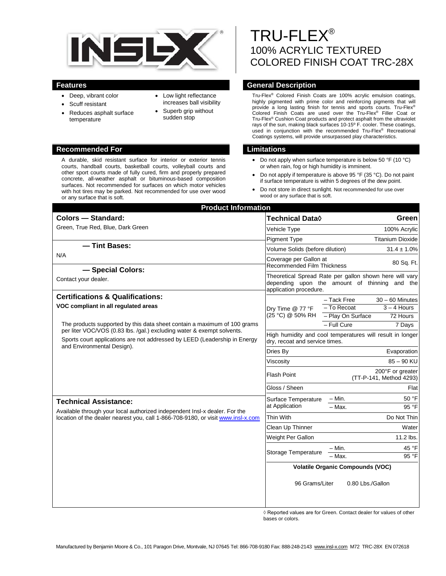

- Deep, vibrant color
- Scuff resistant
- Reduces asphalt surface temperature
- Low light reflectance increases ball visibility
- Superb grip without sudden stop

#### **Recommended For Limitations**

A durable, skid resistant surface for interior or exterior tennis courts, handball courts, basketball courts, volleyball courts and other sport courts made of fully cured, firm and properly prepared concrete, all-weather asphalt or bituminous-based composition surfaces. Not recommended for surfaces on which motor vehicles with hot tires may be parked. Not recommended for use over wood or any surface that is soft.

# TRU-FLEX® 100% ACRYLIC TEXTURED COLORED FINISH COAT TRC-28X

# **Features General Description**

Tru-Flex® Colored Finish Coats are 100% acrylic emulsion coatings, highly pigmented with prime color and reinforcing pigments that will provide a long lasting finish for tennis and sports courts. Tru-Flex® Colored Finish Coats are used over the Tru-Flex® Filler Coat or Tru-Flex® Cushion Coat products and protect asphalt from the ultraviolet rays of the sun, making black surfaces 10-15º F. cooler. These coatings, used in conjunction with the recommended Tru-Flex<sup>®</sup> Recreational Coatings systems, will provide unsurpassed play characteristics.

- Do not apply when surface temperature is below 50 °F (10 °C) or when rain, fog or high humidity is imminent.
- Do not apply if temperature is above 95 °F (35 °C). Do not paint if surface temperature is within 5 degrees of the dew point.
- Do not store in direct sunlight. Not recommended for use over wood or any surface that is soft.

| <b>Product Information</b>                                                                                                                                     |                                                                                                                                    |                                             |
|----------------------------------------------------------------------------------------------------------------------------------------------------------------|------------------------------------------------------------------------------------------------------------------------------------|---------------------------------------------|
| <b>Colors - Standard:</b>                                                                                                                                      | Technical Data◊                                                                                                                    | Green                                       |
| Green, True Red, Blue, Dark Green                                                                                                                              | Vehicle Type                                                                                                                       | 100% Acrylic                                |
|                                                                                                                                                                | <b>Pigment Type</b>                                                                                                                | <b>Titanium Dioxide</b>                     |
| - Tint Bases:                                                                                                                                                  | Volume Solids (before dilution)                                                                                                    | $31.4 \pm 1.0\%$                            |
| N/A                                                                                                                                                            | Coverage per Gallon at                                                                                                             | 80 Sq. Ft.                                  |
| - Special Colors:                                                                                                                                              | <b>Recommended Film Thickness</b>                                                                                                  |                                             |
| Contact your dealer.                                                                                                                                           | Theoretical Spread Rate per gallon shown here will vary<br>depending upon the amount of thinning and the<br>application procedure. |                                             |
| <b>Certifications &amp; Qualifications:</b>                                                                                                                    |                                                                                                                                    | - Tack Free<br>$30 - 60$ Minutes            |
| VOC compliant in all regulated areas                                                                                                                           | Dry Time @ 77 °F                                                                                                                   | - To Recoat<br>$3 - 4$ Hours                |
|                                                                                                                                                                | (25 °C) @ 50% RH                                                                                                                   | - Play On Surface<br>72 Hours               |
| The products supported by this data sheet contain a maximum of 100 grams<br>per liter VOC/VOS (0.83 lbs. /gal.) excluding water & exempt solvents.             |                                                                                                                                    | $-$ Full Cure<br>7 Days                     |
| Sports court applications are not addressed by LEED (Leadership in Energy<br>and Environmental Design).                                                        | High humidity and cool temperatures will result in longer<br>dry, recoat and service times.                                        |                                             |
|                                                                                                                                                                | Dries By                                                                                                                           | Evaporation                                 |
|                                                                                                                                                                | Viscosity                                                                                                                          | $85 - 90$ KU                                |
|                                                                                                                                                                | <b>Flash Point</b>                                                                                                                 | 200°F or greater<br>(TT-P-141, Method 4293) |
|                                                                                                                                                                | Gloss / Sheen                                                                                                                      | Flat                                        |
| <b>Technical Assistance:</b>                                                                                                                                   | Surface Temperature                                                                                                                | - Min.<br>50 °F                             |
| Available through your local authorized independent Insl-x dealer. For the<br>location of the dealer nearest you, call 1-866-708-9180, or visit www.insl-x.com | at Application                                                                                                                     | $-$ Max.<br>95 °F                           |
|                                                                                                                                                                | <b>Thin With</b>                                                                                                                   | Do Not Thin                                 |
|                                                                                                                                                                | Clean Up Thinner                                                                                                                   | Water                                       |
|                                                                                                                                                                | Weight Per Gallon                                                                                                                  | 11.2 lbs.                                   |
| <b>Storage Temperature</b>                                                                                                                                     |                                                                                                                                    | 45 °F<br>– Min.                             |
|                                                                                                                                                                |                                                                                                                                    | $-$ Max.<br>95 °F                           |
|                                                                                                                                                                | <b>Volatile Organic Compounds (VOC)</b>                                                                                            |                                             |
|                                                                                                                                                                | 96 Grams/Liter                                                                                                                     | 0.80 Lbs./Gallon                            |

◊ Reported values are for Green. Contact dealer for values of other bases or colors.